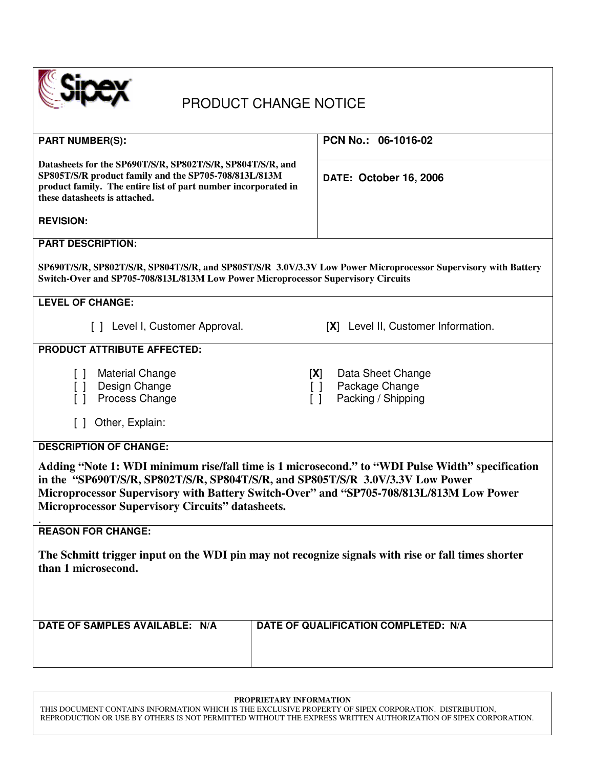

## PRODUCT CHANGE NOTICE

| <b>PART NUMBER(S):</b>                                                                                                                                                                                                                                                                                                                   | PCN No.: 06-1016-02                                                                                      |  |  |
|------------------------------------------------------------------------------------------------------------------------------------------------------------------------------------------------------------------------------------------------------------------------------------------------------------------------------------------|----------------------------------------------------------------------------------------------------------|--|--|
| Datasheets for the SP690T/S/R, SP802T/S/R, SP804T/S/R, and<br>SP805T/S/R product family and the SP705-708/813L/813M<br>product family. The entire list of part number incorporated in<br>these datasheets is attached.                                                                                                                   | DATE: October 16, 2006                                                                                   |  |  |
| <b>REVISION:</b>                                                                                                                                                                                                                                                                                                                         |                                                                                                          |  |  |
| <b>PART DESCRIPTION:</b>                                                                                                                                                                                                                                                                                                                 |                                                                                                          |  |  |
| SP690T/S/R, SP802T/S/R, SP804T/S/R, and SP805T/S/R 3.0V/3.3V Low Power Microprocessor Supervisory with Battery<br>Switch-Over and SP705-708/813L/813M Low Power Microprocessor Supervisory Circuits                                                                                                                                      |                                                                                                          |  |  |
| <b>LEVEL OF CHANGE:</b>                                                                                                                                                                                                                                                                                                                  |                                                                                                          |  |  |
| [ ] Level I, Customer Approval.                                                                                                                                                                                                                                                                                                          | [X] Level II, Customer Information.                                                                      |  |  |
| <b>PRODUCT ATTRIBUTE AFFECTED:</b>                                                                                                                                                                                                                                                                                                       |                                                                                                          |  |  |
| <b>Material Change</b><br>$\Box$<br>Design Change<br>$\begin{bmatrix} \end{bmatrix}$<br>Process Change<br>Other, Explain:<br>$\Box$                                                                                                                                                                                                      | Data Sheet Change<br>[X]<br>Package Change<br>$\lceil$ $\rceil$<br>Packing / Shipping<br>$\lceil \rceil$ |  |  |
|                                                                                                                                                                                                                                                                                                                                          |                                                                                                          |  |  |
| <b>DESCRIPTION OF CHANGE:</b>                                                                                                                                                                                                                                                                                                            |                                                                                                          |  |  |
| Adding "Note 1: WDI minimum rise/fall time is 1 microsecond." to "WDI Pulse Width" specification<br>in the "SP690T/S/R, SP802T/S/R, SP804T/S/R, and SP805T/S/R 3.0V/3.3V Low Power<br>Microprocessor Supervisory with Battery Switch-Over" and "SP705-708/813L/813M Low Power<br><b>Microprocessor Supervisory Circuits" datasheets.</b> |                                                                                                          |  |  |
| <b>REASON FOR CHANGE:</b>                                                                                                                                                                                                                                                                                                                |                                                                                                          |  |  |
| The Schmitt trigger input on the WDI pin may not recognize signals with rise or fall times shorter<br>than 1 microsecond.                                                                                                                                                                                                                |                                                                                                          |  |  |
| DATE OF SAMPLES AVAILABLE: N/A                                                                                                                                                                                                                                                                                                           | DATE OF QUALIFICATION COMPLETED: N/A                                                                     |  |  |
|                                                                                                                                                                                                                                                                                                                                          |                                                                                                          |  |  |

### **PROPRIETARY INFORMATION**

THIS DOCUMENT CONTAINS INFORMATION WHICH IS THE EXCLUSIVE PROPERTY OF SIPEX CORPORATION. DISTRIBUTION, REPRODUCTION OR USE BY OTHERS IS NOT PERMITTED WITHOUT THE EXPRESS WRITTEN AUTHORIZATION OF SIPEX CORPORATION.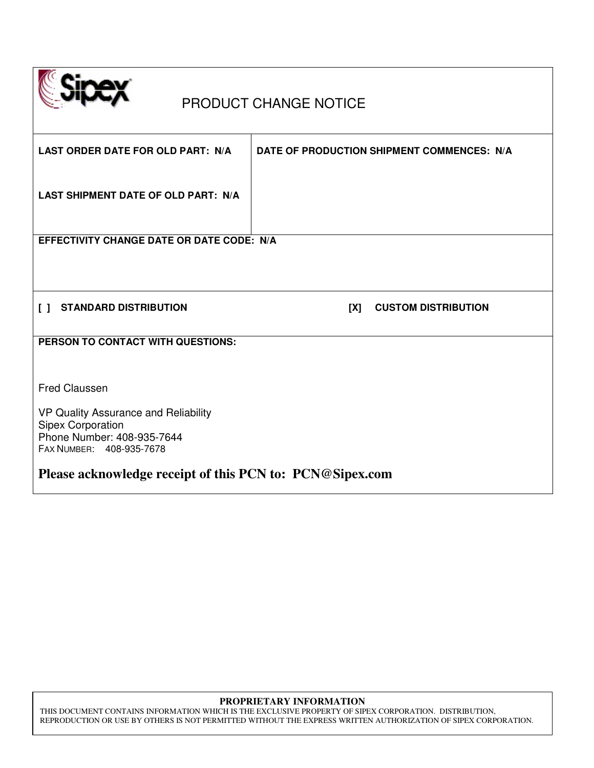

# PRODUCT CHANGE NOTICE

| LAST ORDER DATE FOR OLD PART: N/A                        | DATE OF PRODUCTION SHIPMENT COMMENCES: N/A |  |  |  |
|----------------------------------------------------------|--------------------------------------------|--|--|--|
| LAST SHIPMENT DATE OF OLD PART: N/A                      |                                            |  |  |  |
| EFFECTIVITY CHANGE DATE OR DATE CODE: N/A                |                                            |  |  |  |
|                                                          |                                            |  |  |  |
|                                                          |                                            |  |  |  |
|                                                          |                                            |  |  |  |
|                                                          |                                            |  |  |  |
| <b>STANDARD DISTRIBUTION</b><br>I 1                      | <b>CUSTOM DISTRIBUTION</b><br>[X]          |  |  |  |
| PERSON TO CONTACT WITH QUESTIONS:                        |                                            |  |  |  |
|                                                          |                                            |  |  |  |
|                                                          |                                            |  |  |  |
|                                                          |                                            |  |  |  |
| <b>Fred Claussen</b>                                     |                                            |  |  |  |
|                                                          |                                            |  |  |  |
| VP Quality Assurance and Reliability                     |                                            |  |  |  |
| Sipex Corporation<br>Phone Number: 408-935-7644          |                                            |  |  |  |
| FAX NUMBER: 408-935-7678                                 |                                            |  |  |  |
|                                                          |                                            |  |  |  |
| Please acknowledge receipt of this PCN to: PCN@Sipex.com |                                            |  |  |  |

### **PROPRIETARY INFORMATION**

THIS DOCUMENT CONTAINS INFORMATION WHICH IS THE EXCLUSIVE PROPERTY OF SIPEX CORPORATION. DISTRIBUTION, REPRODUCTION OR USE BY OTHERS IS NOT PERMITTED WITHOUT THE EXPRESS WRITTEN AUTHORIZATION OF SIPEX CORPORATION.